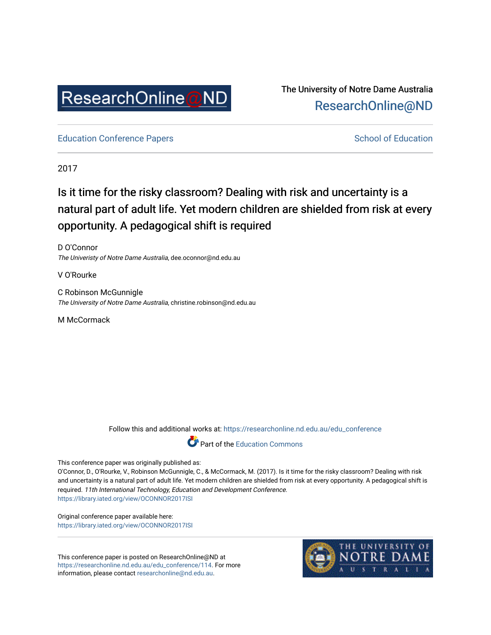

The University of Notre Dame Australia [ResearchOnline@ND](https://researchonline.nd.edu.au/) 

[Education Conference Papers](https://researchonline.nd.edu.au/edu_conference) **School of Education** School of Education

2017

# Is it time for the risky classroom? Dealing with risk and uncertainty is a natural part of adult life. Yet modern children are shielded from risk at every opportunity. A pedagogical shift is required

D O'Connor The Univeristy of Notre Dame Australia, dee.oconnor@nd.edu.au

V O'Rourke

C Robinson McGunnigle The University of Notre Dame Australia, christine.robinson@nd.edu.au

M McCormack

Follow this and additional works at: [https://researchonline.nd.edu.au/edu\\_conference](https://researchonline.nd.edu.au/edu_conference?utm_source=researchonline.nd.edu.au%2Fedu_conference%2F114&utm_medium=PDF&utm_campaign=PDFCoverPages)



This conference paper was originally published as:

O'Connor, D., O'Rourke, V., Robinson McGunnigle, C., & McCormack, M. (2017). Is it time for the risky classroom? Dealing with risk and uncertainty is a natural part of adult life. Yet modern children are shielded from risk at every opportunity. A pedagogical shift is required. 11th International Technology, Education and Development Conference. <https://library.iated.org/view/OCONNOR2017ISI>

Original conference paper available here: <https://library.iated.org/view/OCONNOR2017ISI>

This conference paper is posted on ResearchOnline@ND at [https://researchonline.nd.edu.au/edu\\_conference/114](https://researchonline.nd.edu.au/edu_conference/114). For more information, please contact [researchonline@nd.edu.au.](mailto:researchonline@nd.edu.au)

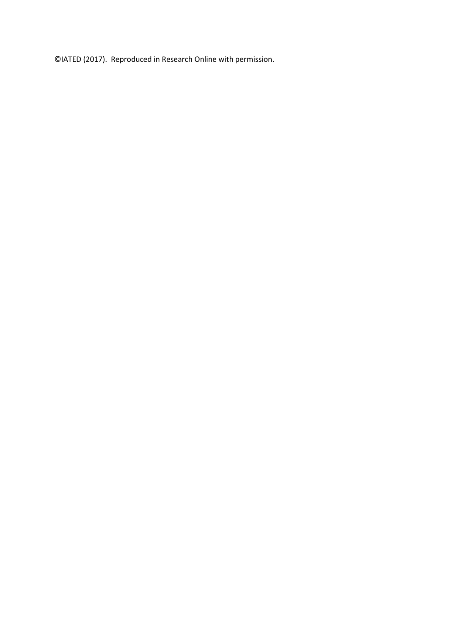©IATED (2017). Reproduced in Research Online with permission.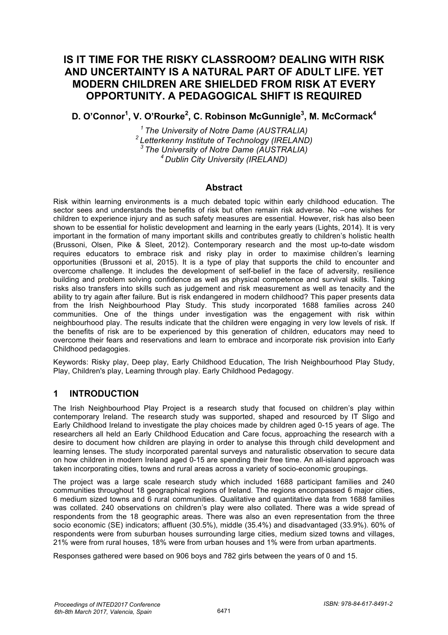# **IS IT TIME FOR THE RISKY CLASSROOM? DEALING WITH RISK AND UNCERTAINTY IS A NATURAL PART OF ADULT LIFE. YET MODERN CHILDREN ARE SHIELDED FROM RISK AT EVERY OPPORTUNITY. A PEDAGOGICAL SHIFT IS REQUIRED**

### **D. O'Connor1 , V. O'Rourke2 , C. Robinson McGunnigle<sup>3</sup> , M. McCormack4**

*1 The University of Notre Dame (AUSTRALIA) 2 Letterkenny Institute of Technology (IRELAND) 3 The University of Notre Dame (AUSTRALIA) 4 Dublin City University (IRELAND)*

#### **Abstract**

Risk within learning environments is a much debated topic within early childhood education. The sector sees and understands the benefits of risk but often remain risk adverse. No –one wishes for children to experience injury and as such safety measures are essential. However, risk has also been shown to be essential for holistic development and learning in the early years (Lights, 2014). It is very important in the formation of many important skills and contributes greatly to children's holistic health (Brussoni, Olsen, Pike & Sleet, 2012). Contemporary research and the most up-to-date wisdom requires educators to embrace risk and risky play in order to maximise children's learning opportunities (Brussoni et al, 2015). It is a type of play that supports the child to encounter and overcome challenge. It includes the development of self-belief in the face of adversity, resilience building and problem solving confidence as well as physical competence and survival skills. Taking risks also transfers into skills such as judgement and risk measurement as well as tenacity and the ability to try again after failure. But is risk endangered in modern childhood? This paper presents data from the Irish Neighbourhood Play Study. This study incorporated 1688 families across 240 communities. One of the things under investigation was the engagement with risk within neighbourhood play. The results indicate that the children were engaging in very low levels of risk. If the benefits of risk are to be experienced by this generation of children, educators may need to overcome their fears and reservations and learn to embrace and incorporate risk provision into Early Childhood pedagogies.

Keywords: Risky play, Deep play, Early Childhood Education, The Irish Neighbourhood Play Study, Play, Children's play, Learning through play. Early Childhood Pedagogy.

### **1 INTRODUCTION**

The Irish Neighbourhood Play Project is a research study that focused on children's play within contemporary Ireland. The research study was supported, shaped and resourced by IT Sligo and Early Childhood Ireland to investigate the play choices made by children aged 0-15 years of age. The researchers all held an Early Childhood Education and Care focus, approaching the research with a desire to document how children are playing in order to analyse this through child development and learning lenses. The study incorporated parental surveys and naturalistic observation to secure data on how children in modern Ireland aged 0-15 are spending their free time. An all-island approach was taken incorporating cities, towns and rural areas across a variety of socio-economic groupings.

The project was a large scale research study which included 1688 participant families and 240 communities throughout 18 geographical regions of Ireland. The regions encompassed 6 major cities, 6 medium sized towns and 6 rural communities. Qualitative and quantitative data from 1688 families was collated. 240 observations on children's play were also collated. There was a wide spread of respondents from the 18 geographic areas. There was also an even representation from the three socio economic (SE) indicators; affluent (30.5%), middle (35.4%) and disadvantaged (33.9%). 60% of respondents were from suburban houses surrounding large cities, medium sized towns and villages, 21% were from rural houses, 18% were from urban houses and 1% were from urban apartments.

Responses gathered were based on 906 boys and 782 girls between the years of 0 and 15.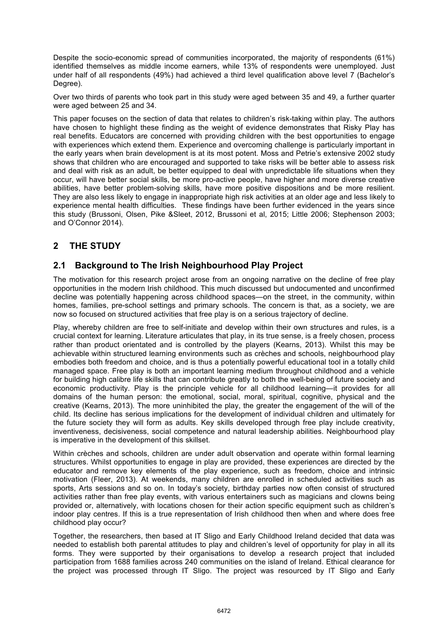Despite the socio-economic spread of communities incorporated, the majority of respondents (61%) identified themselves as middle income earners, while 13% of respondents were unemployed. Just under half of all respondents (49%) had achieved a third level qualification above level 7 (Bachelor's Degree).

Over two thirds of parents who took part in this study were aged between 35 and 49, a further quarter were aged between 25 and 34.

This paper focuses on the section of data that relates to children's risk-taking within play. The authors have chosen to highlight these finding as the weight of evidence demonstrates that Risky Play has real benefits. Educators are concerned with providing children with the best opportunities to engage with experiences which extend them. Experience and overcoming challenge is particularly important in the early years when brain development is at its most potent. Moss and Petrie's extensive 2002 study shows that children who are encouraged and supported to take risks will be better able to assess risk and deal with risk as an adult, be better equipped to deal with unpredictable life situations when they occur, will have better social skills, be more pro-active people, have higher and more diverse creative abilities, have better problem-solving skills, have more positive dispositions and be more resilient. They are also less likely to engage in inappropriate high risk activities at an older age and less likely to experience mental health difficulties. These findings have been further evidenced in the years since this study (Brussoni, Olsen, Pike &Sleet, 2012, Brussoni et al, 2015; Little 2006; Stephenson 2003; and O'Connor 2014).

# **2 THE STUDY**

### **2.1 Background to The Irish Neighbourhood Play Project**

The motivation for this research project arose from an ongoing narrative on the decline of free play opportunities in the modern Irish childhood. This much discussed but undocumented and unconfirmed decline was potentially happening across childhood spaces—on the street, in the community, within homes, families, pre-school settings and primary schools. The concern is that, as a society, we are now so focused on structured activities that free play is on a serious trajectory of decline.

Play, whereby children are free to self-initiate and develop within their own structures and rules, is a crucial context for learning. Literature articulates that play, in its true sense, is a freely chosen, process rather than product orientated and is controlled by the players (Kearns, 2013). Whilst this may be achievable within structured learning environments such as crèches and schools, neighbourhood play embodies both freedom and choice, and is thus a potentially powerful educational tool in a totally child managed space. Free play is both an important learning medium throughout childhood and a vehicle for building high calibre life skills that can contribute greatly to both the well-being of future society and economic productivity. Play is the principle vehicle for all childhood learning—it provides for all domains of the human person: the emotional, social, moral, spiritual, cognitive, physical and the creative (Kearns, 2013). The more uninhibited the play, the greater the engagement of the will of the child. Its decline has serious implications for the development of individual children and ultimately for the future society they will form as adults. Key skills developed through free play include creativity, inventiveness, decisiveness, social competence and natural leadership abilities. Neighbourhood play is imperative in the development of this skillset.

Within crèches and schools, children are under adult observation and operate within formal learning structures. Whilst opportunities to engage in play are provided, these experiences are directed by the educator and remove key elements of the play experience, such as freedom, choice and intrinsic motivation (Fleer, 2013). At weekends, many children are enrolled in scheduled activities such as sports, Arts sessions and so on. In today's society, birthday parties now often consist of structured activities rather than free play events, with various entertainers such as magicians and clowns being provided or, alternatively, with locations chosen for their action specific equipment such as children's indoor play centres. If this is a true representation of Irish childhood then when and where does free childhood play occur?

Together, the researchers, then based at IT Sligo and Early Childhood Ireland decided that data was needed to establish both parental attitudes to play and children's level of opportunity for play in all its forms. They were supported by their organisations to develop a research project that included participation from 1688 families across 240 communities on the island of Ireland. Ethical clearance for the project was processed through IT Sligo. The project was resourced by IT Sligo and Early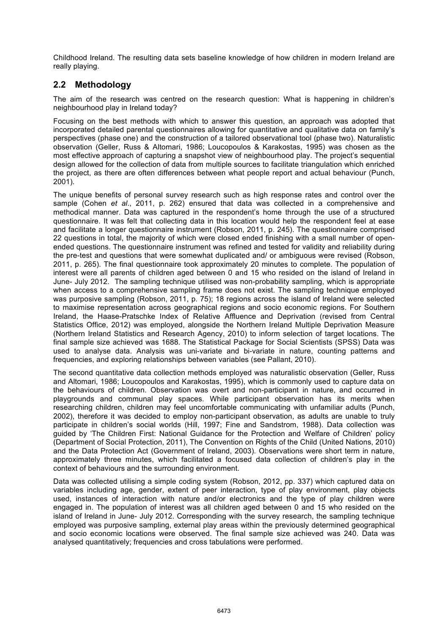Childhood Ireland. The resulting data sets baseline knowledge of how children in modern Ireland are really playing.

## **2.2 Methodology**

The aim of the research was centred on the research question: What is happening in children's neighbourhood play in Ireland today?

Focusing on the best methods with which to answer this question, an approach was adopted that incorporated detailed parental questionnaires allowing for quantitative and qualitative data on family's perspectives (phase one) and the construction of a tailored observational tool (phase two). Naturalistic observation (Geller, Russ & Altomari, 1986; Loucopoulos & Karakostas, 1995) was chosen as the most effective approach of capturing a snapshot view of neighbourhood play. The project's sequential design allowed for the collection of data from multiple sources to facilitate triangulation which enriched the project, as there are often differences between what people report and actual behaviour (Punch, 2001).

The unique benefits of personal survey research such as high response rates and control over the sample (Cohen *et al*., 2011, p. 262) ensured that data was collected in a comprehensive and methodical manner. Data was captured in the respondent's home through the use of a structured questionnaire. It was felt that collecting data in this location would help the respondent feel at ease and facilitate a longer questionnaire instrument (Robson, 2011, p. 245). The questionnaire comprised 22 questions in total, the majority of which were closed ended finishing with a small number of openended questions. The questionnaire instrument was refined and tested for validity and reliability during the pre-test and questions that were somewhat duplicated and/ or ambiguous were revised (Robson, 2011, p. 265). The final questionnaire took approximately 20 minutes to complete. The population of interest were all parents of children aged between 0 and 15 who resided on the island of Ireland in June- July 2012. The sampling technique utilised was non-probability sampling, which is appropriate when access to a comprehensive sampling frame does not exist. The sampling technique employed was purposive sampling (Robson, 2011, p. 75); 18 regions across the island of Ireland were selected to maximise representation across geographical regions and socio economic regions. For Southern Ireland, the Haase-Pratschke Index of Relative Affluence and Deprivation (revised from Central Statistics Office, 2012) was employed, alongside the Northern Ireland Multiple Deprivation Measure (Northern Ireland Statistics and Research Agency, 2010) to inform selection of target locations. The final sample size achieved was 1688. The Statistical Package for Social Scientists (SPSS) Data was used to analyse data. Analysis was uni-variate and bi-variate in nature, counting patterns and frequencies, and exploring relationships between variables (see Pallant, 2010).

The second quantitative data collection methods employed was naturalistic observation (Geller, Russ and Altomari, 1986; Loucopoulos and Karakostas, 1995), which is commonly used to capture data on the behaviours of children. Observation was overt and non-participant in nature, and occurred in playgrounds and communal play spaces. While participant observation has its merits when researching children, children may feel uncomfortable communicating with unfamiliar adults (Punch, 2002), therefore it was decided to employ non-participant observation, as adults are unable to truly participate in children's social worlds (Hill, 1997; Fine and Sandstrom, 1988). Data collection was guided by 'The Children First: National Guidance for the Protection and Welfare of Children' policy (Department of Social Protection, 2011), The Convention on Rights of the Child (United Nations, 2010) and the Data Protection Act (Government of Ireland, 2003). Observations were short term in nature, approximately three minutes, which facilitated a focused data collection of children's play in the context of behaviours and the surrounding environment.

Data was collected utilising a simple coding system (Robson, 2012, pp. 337) which captured data on variables including age, gender, extent of peer interaction, type of play environment, play objects used, instances of interaction with nature and/or electronics and the type of play children were engaged in. The population of interest was all children aged between 0 and 15 who resided on the island of Ireland in June- July 2012. Corresponding with the survey research, the sampling technique employed was purposive sampling, external play areas within the previously determined geographical and socio economic locations were observed. The final sample size achieved was 240. Data was analysed quantitatively; frequencies and cross tabulations were performed.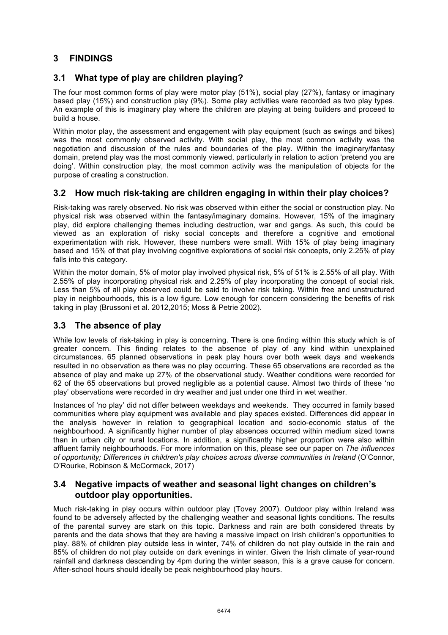# **3 FINDINGS**

## **3.1 What type of play are children playing?**

The four most common forms of play were motor play (51%), social play (27%), fantasy or imaginary based play (15%) and construction play (9%). Some play activities were recorded as two play types. An example of this is imaginary play where the children are playing at being builders and proceed to build a house.

Within motor play, the assessment and engagement with play equipment (such as swings and bikes) was the most commonly observed activity. With social play, the most common activity was the negotiation and discussion of the rules and boundaries of the play. Within the imaginary/fantasy domain, pretend play was the most commonly viewed, particularly in relation to action 'pretend you are doing'. Within construction play, the most common activity was the manipulation of objects for the purpose of creating a construction.

### **3.2 How much risk-taking are children engaging in within their play choices?**

Risk-taking was rarely observed. No risk was observed within either the social or construction play. No physical risk was observed within the fantasy/imaginary domains. However, 15% of the imaginary play, did explore challenging themes including destruction, war and gangs. As such, this could be viewed as an exploration of risky social concepts and therefore a cognitive and emotional experimentation with risk. However, these numbers were small. With 15% of play being imaginary based and 15% of that play involving cognitive explorations of social risk concepts, only 2.25% of play falls into this category.

Within the motor domain, 5% of motor play involved physical risk, 5% of 51% is 2.55% of all play. With 2.55% of play incorporating physical risk and 2.25% of play incorporating the concept of social risk. Less than 5% of all play observed could be said to involve risk taking. Within free and unstructured play in neighbourhoods, this is a low figure. Low enough for concern considering the benefits of risk taking in play (Brussoni et al. 2012,2015; Moss & Petrie 2002).

### **3.3 The absence of play**

While low levels of risk-taking in play is concerning. There is one finding within this study which is of greater concern. This finding relates to the absence of play of any kind within unexplained circumstances. 65 planned observations in peak play hours over both week days and weekends resulted in no observation as there was no play occurring. These 65 observations are recorded as the absence of play and make up 27% of the observational study. Weather conditions were recorded for 62 of the 65 observations but proved negligible as a potential cause. Almost two thirds of these 'no play' observations were recorded in dry weather and just under one third in wet weather.

Instances of 'no play' did not differ between weekdays and weekends. They occurred in family based communities where play equipment was available and play spaces existed. Differences did appear in the analysis however in relation to geographical location and socio-economic status of the neighbourhood. A significantly higher number of play absences occurred within medium sized towns than in urban city or rural locations. In addition, a significantly higher proportion were also within affluent family neighbourhoods. For more information on this, please see our paper on *The influences of opportunity; Differences in children's play choices across diverse communities in Ireland* (O'Connor, O'Rourke, Robinson & McCormack, 2017)

### **3.4 Negative impacts of weather and seasonal light changes on children's outdoor play opportunities.**

Much risk-taking in play occurs within outdoor play (Tovey 2007). Outdoor play within Ireland was found to be adversely affected by the challenging weather and seasonal lights conditions. The results of the parental survey are stark on this topic. Darkness and rain are both considered threats by parents and the data shows that they are having a massive impact on Irish children's opportunities to play. 88% of children play outside less in winter, 74% of children do not play outside in the rain and 85% of children do not play outside on dark evenings in winter. Given the Irish climate of year-round rainfall and darkness descending by 4pm during the winter season, this is a grave cause for concern. After-school hours should ideally be peak neighbourhood play hours.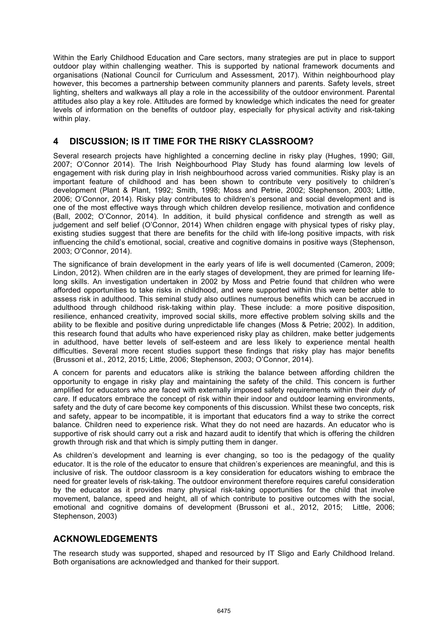Within the Early Childhood Education and Care sectors, many strategies are put in place to support outdoor play within challenging weather. This is supported by national framework documents and organisations (National Council for Curriculum and Assessment, 2017). Within neighbourhood play however, this becomes a partnership between community planners and parents. Safety levels, street lighting, shelters and walkways all play a role in the accessibility of the outdoor environment. Parental attitudes also play a key role. Attitudes are formed by knowledge which indicates the need for greater levels of information on the benefits of outdoor play, especially for physical activity and risk-taking within play.

#### **4 DISCUSSION; IS IT TIME FOR THE RISKY CLASSROOM?**

Several research projects have highlighted a concerning decline in risky play (Hughes, 1990; Gill, 2007; O'Connor 2014). The Irish Neighbourhood Play Study has found alarming low levels of engagement with risk during play in Irish neighbourhood across varied communities. Risky play is an important feature of childhood and has been shown to contribute very positively to children's development (Plant & Plant, 1992; Smith, 1998; Moss and Petrie, 2002; Stephenson, 2003; Little, 2006; O'Connor, 2014). Risky play contributes to children's personal and social development and is one of the most effective ways through which children develop resilience, motivation and confidence (Ball, 2002; O'Connor, 2014). In addition, it build physical confidence and strength as well as judgement and self belief (O'Connor, 2014) When children engage with physical types of risky play, existing studies suggest that there are benefits for the child with life-long positive impacts, with risk influencing the child's emotional, social, creative and cognitive domains in positive ways (Stephenson, 2003; O'Connor, 2014).

The significance of brain development in the early years of life is well documented (Cameron, 2009; Lindon, 2012). When children are in the early stages of development, they are primed for learning lifelong skills. An investigation undertaken in 2002 by Moss and Petrie found that children who were afforded opportunities to take risks in childhood, and were supported within this were better able to assess risk in adulthood. This seminal study also outlines numerous benefits which can be accrued in adulthood through childhood risk-taking within play. These include: a more positive disposition, resilience, enhanced creativity, improved social skills, more effective problem solving skills and the ability to be flexible and positive during unpredictable life changes (Moss & Petrie; 2002). In addition, this research found that adults who have experienced risky play as children, make better judgements in adulthood, have better levels of self-esteem and are less likely to experience mental health difficulties. Several more recent studies support these findings that risky play has major benefits (Brussoni et al., 2012, 2015; Little, 2006; Stephenson, 2003; O'Connor, 2014).

A concern for parents and educators alike is striking the balance between affording children the opportunity to engage in risky play and maintaining the safety of the child. This concern is further amplified for educators who are faced with externally imposed safety requirements within their *duty of care*. If educators embrace the concept of risk within their indoor and outdoor learning environments, safety and the duty of care become key components of this discussion. Whilst these two concepts, risk and safety, appear to be incompatible, it is important that educators find a way to strike the correct balance. Children need to experience risk. What they do not need are hazards. An educator who is supportive of risk should carry out a risk and hazard audit to identify that which is offering the children growth through risk and that which is simply putting them in danger.

As children's development and learning is ever changing, so too is the pedagogy of the quality educator. It is the role of the educator to ensure that children's experiences are meaningful, and this is inclusive of risk. The outdoor classroom is a key consideration for educators wishing to embrace the need for greater levels of risk-taking. The outdoor environment therefore requires careful consideration by the educator as it provides many physical risk-taking opportunities for the child that involve movement, balance, speed and height, all of which contribute to positive outcomes with the social, emotional and cognitive domains of development (Brussoni et al., 2012, 2015; Little, 2006; Stephenson, 2003)

### **ACKNOWLEDGEMENTS**

The research study was supported, shaped and resourced by IT Sligo and Early Childhood Ireland. Both organisations are acknowledged and thanked for their support.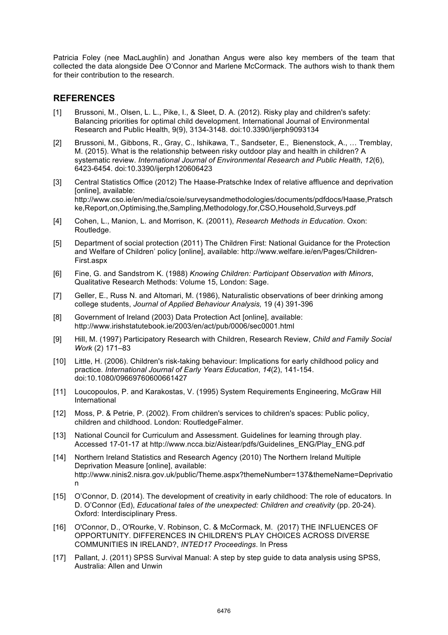Patricia Foley (nee MacLaughlin) and Jonathan Angus were also key members of the team that collected the data alongside Dee O'Connor and Marlene McCormack. The authors wish to thank them for their contribution to the research.

### **REFERENCES**

- [1] Brussoni, M., Olsen, L. L., Pike, I., & Sleet, D. A. (2012). Risky play and children's safety: Balancing priorities for optimal child development. International Journal of Environmental Research and Public Health, 9(9), 3134-3148. doi:10.3390/ijerph9093134
- [2] Brussoni, M., Gibbons, R., Gray, C., Ishikawa, T., Sandseter, E., Bienenstock, A., … Tremblay, M. (2015). What is the relationship between risky outdoor play and health in children? A systematic review. *International Journal of Environmental Research and Public Health*, *12*(6), 6423-6454. doi:10.3390/ijerph120606423
- [3] Central Statistics Office (2012) The Haase-Pratschke Index of relative affluence and deprivation [online], available: http://www.cso.ie/en/media/csoie/surveysandmethodologies/documents/pdfdocs/Haase,Pratsch ke,Report,on,Optimising,the,Sampling,Methodology,for,CSO,Household,Surveys.pdf
- [4] Cohen, L., Manion, L. and Morrison, K. (20011), *Research Methods in Education*. Oxon: Routledge.
- [5] Department of social protection (2011) The Children First: National Guidance for the Protection and Welfare of Children' policy [online], available: http://www.welfare.ie/en/Pages/Children-First.aspx
- [6] Fine, G. and Sandstrom K. (1988) *Knowing Children: Participant Observation with Minors*, Qualitative Research Methods: Volume 15, London: Sage.
- [7] Geller, E., Russ N. and Altomari, M. (1986), Naturalistic observations of beer drinking among college students, *Journal of Applied Behaviour Analysis,* 19 (4) 391-396
- [8] Government of Ireland (2003) Data Protection Act [online], available: http://www.irishstatutebook.ie/2003/en/act/pub/0006/sec0001.html
- [9] Hill, M. (1997) Participatory Research with Children, Research Review, *Child and Family Social Work* (2) 171–83
- [10] Little, H. (2006). Children's risk-taking behaviour: Implications for early childhood policy and practice. *International Journal of Early Years Education*, *14*(2), 141-154. doi:10.1080/09669760600661427
- [11] Loucopoulos, P. and Karakostas, V. (1995) System Requirements Engineering, McGraw Hill International
- [12] Moss, P. & Petrie, P. (2002). From children's services to children's spaces: Public policy, children and childhood. London: RoutledgeFalmer.
- [13] National Council for Curriculum and Assessment. Guidelines for learning through play. Accessed 17-01-17 at http://www.ncca.biz/Aistear/pdfs/Guidelines\_ENG/Play\_ENG.pdf
- [14] Northern Ireland Statistics and Research Agency (2010) The Northern Ireland Multiple Deprivation Measure [online], available: http://www.ninis2.nisra.gov.uk/public/Theme.aspx?themeNumber=137&themeName=Deprivatio n
- [15] O'Connor, D. (2014). The development of creativity in early childhood: The role of educators. In D. O'Connor (Ed), *Educational tales of the unexpected: Children and creativity* (pp. 20-24). Oxford: Interdisciplinary Press.
- [16] O'Connor, D., O'Rourke, V. Robinson, C. & McCormack, M. (2017) THE INFLUENCES OF OPPORTUNITY. DIFFERENCES IN CHILDREN'S PLAY CHOICES ACROSS DIVERSE COMMUNITIES IN IRELAND?, *INTED17 Proceedings*. In Press
- [17] Pallant, J. (2011) SPSS Survival Manual: A step by step guide to data analysis using SPSS, Australia: Allen and Unwin